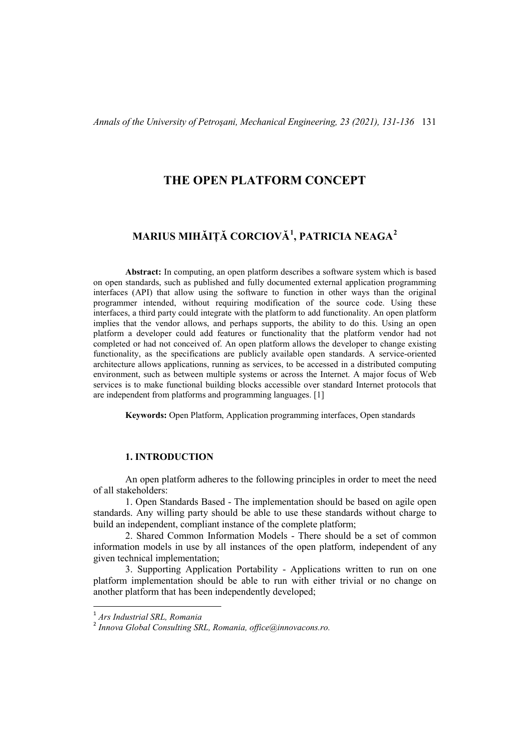# **THE OPEN PLATFORM CONCEPT**

# **MARIUS MIHĂIȚĂ CORCIOVĂ[1](#page-0-0) , PATRICIA NEAGA[2](#page-0-1)**

**Abstract:** In computing, an open platform describes a software system which is based on open standards, such as published and fully documented external application programming interfaces (API) that allow using the software to function in other ways than the original programmer intended, without requiring modification of the source code. Using these interfaces, a third party could integrate with the platform to add functionality. An open platform implies that the vendor allows, and perhaps supports, the ability to do this. Using an open platform a developer could add features or functionality that the platform vendor had not completed or had not conceived of. An open platform allows the developer to change existing functionality, as the specifications are publicly available open standards. A service-oriented architecture allows applications, running as services, to be accessed in a distributed computing environment, such as between multiple systems or across the Internet. A major focus of Web services is to make functional building blocks accessible over standard Internet protocols that are independent from platforms and programming languages. [1]

**Keywords:** Open Platform, Application programming interfaces, Open standards

#### **1. INTRODUCTION**

An open platform adheres to the following principles in order to meet the need of all stakeholders:

1. Open Standards Based - The implementation should be based on agile open standards. Any willing party should be able to use these standards without charge to build an independent, compliant instance of the complete platform;

2. Shared Common Information Models - There should be a set of common information models in use by all instances of the open platform, independent of any given technical implementation;

3. Supporting Application Portability - Applications written to run on one platform implementation should be able to run with either trivial or no change on another platform that has been independently developed;

<span id="page-0-0"></span> <sup>1</sup> *Ars Industrial SRL, Romania*

<span id="page-0-1"></span><sup>2</sup> *Innova Global Consulting SRL, Romania, office@innovacons.ro.*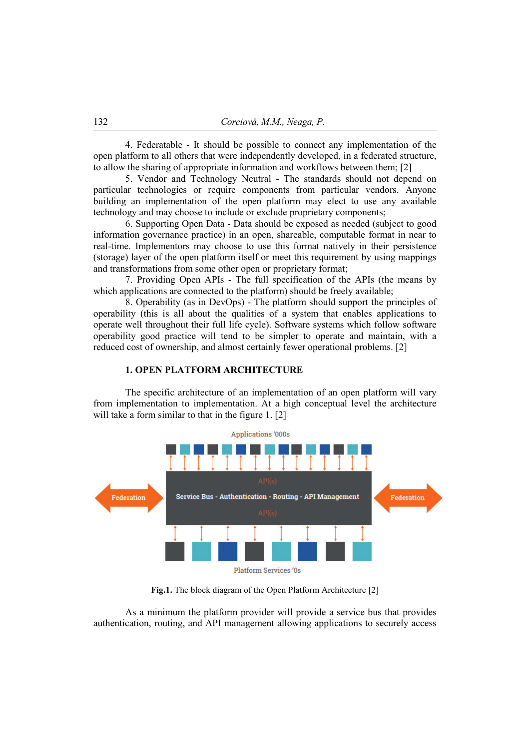4. Federatable - It should be possible to connect any implementation of the open platform to all others that were independently developed, in a federated structure, to allow the sharing of appropriate information and workflows between them; [2]

5. Vendor and Technology Neutral - The standards should not depend on particular technologies or require components from particular vendors. Anyone building an implementation of the open platform may elect to use any available technology and may choose to include or exclude proprietary components;

6. Supporting Open Data - Data should be exposed as needed (subject to good information governance practice) in an open, shareable, computable format in near to real-time. Implementors may choose to use this format natively in their persistence (storage) layer of the open platform itself or meet this requirement by using mappings and transformations from some other open or proprietary format;

7. Providing Open APIs - The full specification of the APIs (the means by which applications are connected to the platform) should be freely available;

8. Operability (as in DevOps) - The platform should support the principles of operability (this is all about the qualities of a system that enables applications to operate well throughout their full life cycle). Software systems which follow software operability good practice will tend to be simpler to operate and maintain, with a reduced cost of ownership, and almost certainly fewer operational problems. [2]

#### **1. OPEN PLATFORM ARCHITECTURE**

The specific architecture of an implementation of an open platform will vary from implementation to implementation. At a high conceptual level the architecture will take a form similar to that in the figure 1. [2]



**Fig.1.** The block diagram of the Open Platform Architecture [2]

As a minimum the platform provider will provide a service bus that provides authentication, routing, and API management allowing applications to securely access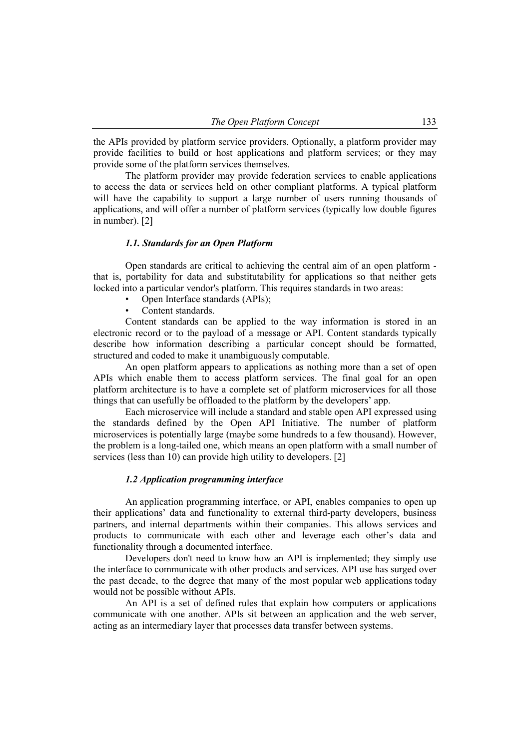the APIs provided by platform service providers. Optionally, a platform provider may provide facilities to build or host applications and platform services; or they may provide some of the platform services themselves.

The platform provider may provide federation services to enable applications to access the data or services held on other compliant platforms. A typical platform will have the capability to support a large number of users running thousands of applications, and will offer a number of platform services (typically low double figures in number). [2]

## *1.1. Standards for an Open Platform*

Open standards are critical to achieving the central aim of an open platform that is, portability for data and substitutability for applications so that neither gets locked into a particular vendor's platform. This requires standards in two areas:

- Open Interface standards (APIs);
- Content standards.

Content standards can be applied to the way information is stored in an electronic record or to the payload of a message or API. Content standards typically describe how information describing a particular concept should be formatted, structured and coded to make it unambiguously computable.

An open platform appears to applications as nothing more than a set of open APIs which enable them to access platform services. The final goal for an open platform architecture is to have a complete set of platform microservices for all those things that can usefully be offloaded to the platform by the developers' app.

Each microservice will include a standard and stable open API expressed using the standards defined by the Open API Initiative. The number of platform microservices is potentially large (maybe some hundreds to a few thousand). However, the problem is a long-tailed one, which means an open platform with a small number of services (less than 10) can provide high utility to developers. [2]

#### *1.2 Application programming interface*

An application programming interface, or API, enables companies to open up their applications' data and functionality to external third-party developers, business partners, and internal departments within their companies. This allows services and products to communicate with each other and leverage each other's data and functionality through a documented interface.

Developers don't need to know how an API is implemented; they simply use the interface to communicate with other products and services. API use has surged over the past decade, to the degree that many of the most popular web applications today would not be possible without APIs.

An API is a set of defined rules that explain how computers or applications communicate with one another. APIs sit between an application and the web server, acting as an intermediary layer that processes data transfer between systems.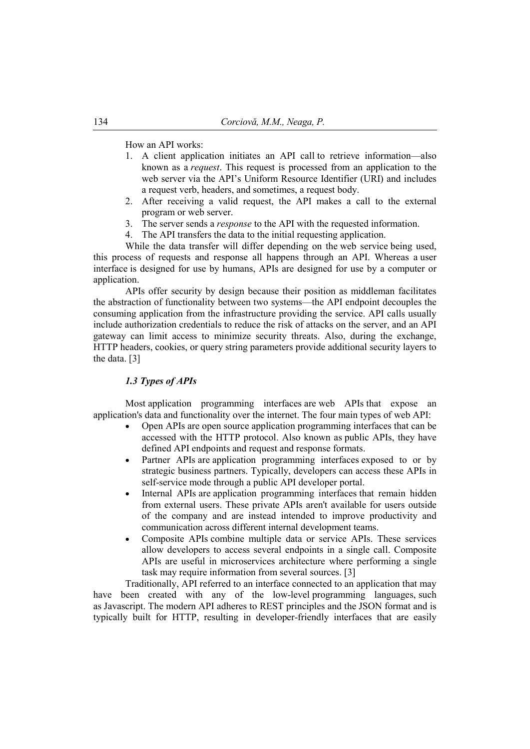How an API works:

- 1. A client application initiates an API call to retrieve information—also known as a *request*. This request is processed from an application to the web server via the API's Uniform Resource Identifier (URI) and includes a request verb, headers, and sometimes, a request body.
- 2. After receiving a valid request, the API makes a call to the external program or web server.
- 3. The server sends a *response* to the API with the requested information.
- 4. The API transfers the data to the initial requesting application.

While the data transfer will differ depending on the web service being used, this process of requests and response all happens through an API. Whereas a user interface is designed for use by humans, APIs are designed for use by a computer or application.

APIs offer security by design because their position as middleman facilitates the abstraction of functionality between two systems—the API endpoint decouples the consuming application from the infrastructure providing the service. API calls usually include authorization credentials to reduce the risk of attacks on the server, and an API gateway can limit access to minimize security threats. Also, during the exchange, HTTP headers, cookies, or query string parameters provide additional security layers to the data. [3]

## *1.3 Types of APIs*

Most application programming interfaces are web APIs that expose an application's data and functionality over the internet. The four main types of web API:

- Open APIs are open source application programming interfaces that can be accessed with the HTTP protocol. Also known as public APIs, they have defined API endpoints and request and response formats.
- Partner APIs are application programming interfaces exposed to or by strategic business partners. Typically, developers can access these APIs in self-service mode through a public API developer portal.
- Internal APIs are application programming interfaces that remain hidden from external users. These private APIs aren't available for users outside of the company and are instead intended to improve productivity and communication across different internal development teams.
- Composite APIs combine multiple data or service APIs. These services allow developers to access several endpoints in a single call. Composite APIs are useful in microservices architecture where performing a single task may require information from several sources. [3]

Traditionally, API referred to an interface connected to an application that may have been created with any of the low-level programming languages, such as Javascript. The modern API adheres to REST principles and the JSON format and is typically built for HTTP, resulting in developer-friendly interfaces that are easily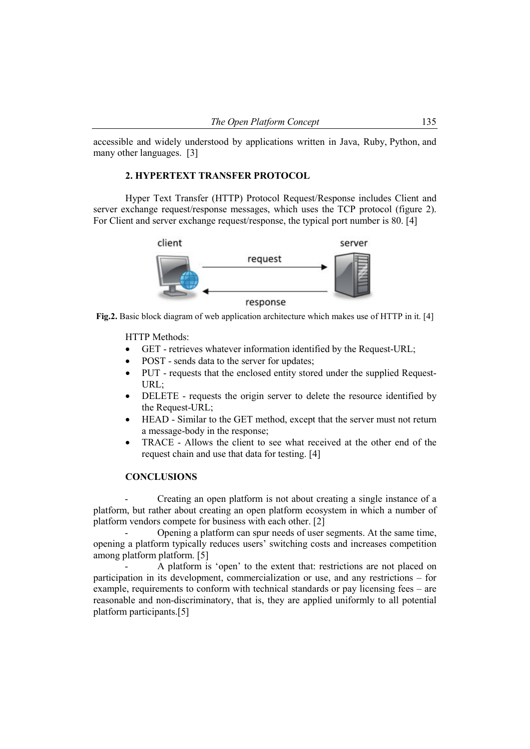accessible and widely understood by applications written in Java, Ruby, Python, and many other languages. [3]

### **2. HYPERTEXT TRANSFER PROTOCOL**

Hyper Text Transfer (HTTP) Protocol Request/Response includes Client and server exchange request/response messages, which uses the TCP protocol (figure 2). For Client and server exchange request/response, the typical port number is 80. [4]



**Fig.2.** Basic block diagram of web application architecture which makes use of HTTP in it. [4]

HTTP Methods:

- GET retrieves whatever information identified by the Request-URL;
- POST sends data to the server for updates;
- PUT requests that the enclosed entity stored under the supplied Request-URL;
- DELETE requests the origin server to delete the resource identified by the Request-URL;
- HEAD Similar to the GET method, except that the server must not return a message-body in the response;
- TRACE Allows the client to see what received at the other end of the request chain and use that data for testing. [4]

## **CONCLUSIONS**

- Creating an open platform is not about creating a single instance of a platform, but rather about creating an open platform ecosystem in which a number of platform vendors compete for business with each other. [2]

- Opening a platform can spur needs of user segments. At the same time, opening a platform typically reduces users' switching costs and increases competition among platform platform. [5]

A platform is 'open' to the extent that: restrictions are not placed on participation in its development, commercialization or use, and any restrictions – for example, requirements to conform with technical standards or pay licensing fees – are reasonable and non-discriminatory, that is, they are applied uniformly to all potential platform participants.[5]